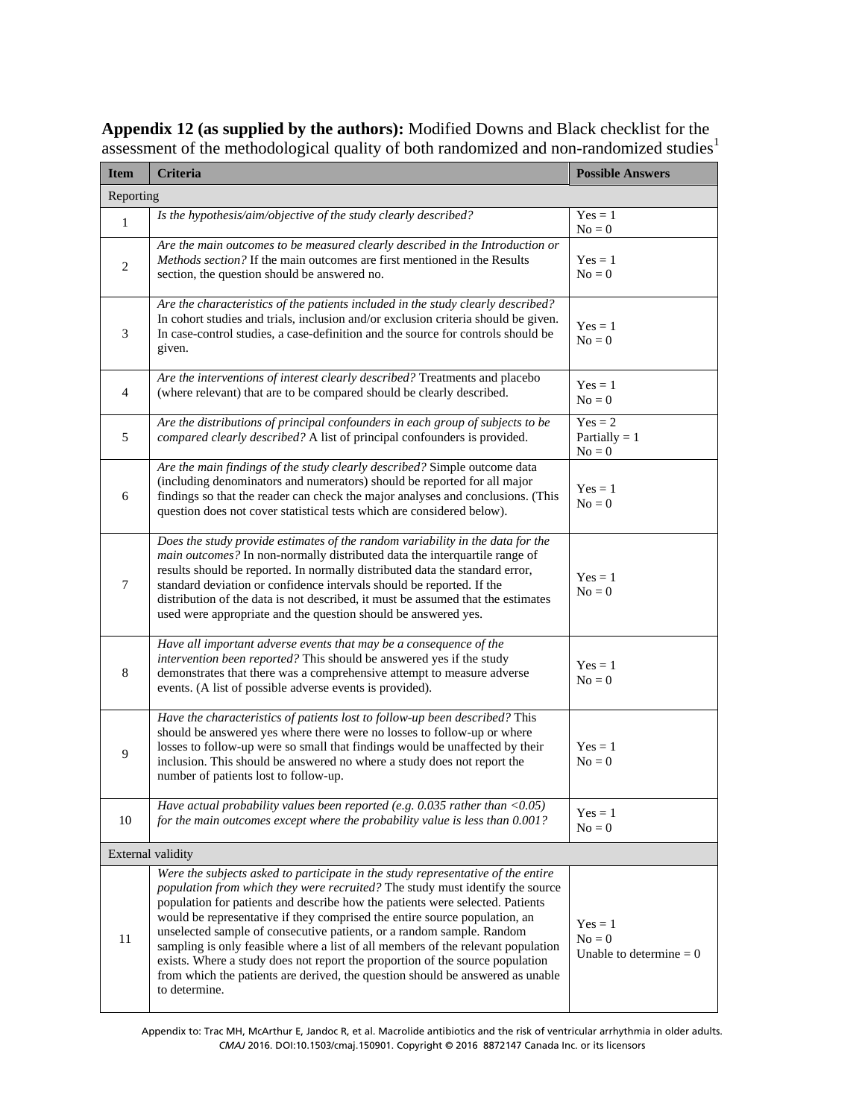**Appendix 12 (as supplied by the authors):** Modified Downs and Black checklist for the assessment of the methodological quality of both randomized and non-randomized studies<sup>1</sup>

| <b>Item</b>       | <b>Criteria</b>                                                                                                                                                                                                                                                                                                                                                                                                                                                                                                                                                                                                                                                                   | <b>Possible Answers</b>                            |  |  |
|-------------------|-----------------------------------------------------------------------------------------------------------------------------------------------------------------------------------------------------------------------------------------------------------------------------------------------------------------------------------------------------------------------------------------------------------------------------------------------------------------------------------------------------------------------------------------------------------------------------------------------------------------------------------------------------------------------------------|----------------------------------------------------|--|--|
| Reporting         |                                                                                                                                                                                                                                                                                                                                                                                                                                                                                                                                                                                                                                                                                   |                                                    |  |  |
| $\mathbf{1}$      | Is the hypothesis/aim/objective of the study clearly described?                                                                                                                                                                                                                                                                                                                                                                                                                                                                                                                                                                                                                   | $Yes = 1$<br>$No = 0$                              |  |  |
| 2                 | Are the main outcomes to be measured clearly described in the Introduction or<br>Methods section? If the main outcomes are first mentioned in the Results<br>section, the question should be answered no.                                                                                                                                                                                                                                                                                                                                                                                                                                                                         | $Yes = 1$<br>$No = 0$                              |  |  |
| 3                 | Are the characteristics of the patients included in the study clearly described?<br>In cohort studies and trials, inclusion and/or exclusion criteria should be given.<br>In case-control studies, a case-definition and the source for controls should be<br>given.                                                                                                                                                                                                                                                                                                                                                                                                              | $Yes = 1$<br>$No = 0$                              |  |  |
| $\overline{4}$    | Are the interventions of interest clearly described? Treatments and placebo<br>(where relevant) that are to be compared should be clearly described.                                                                                                                                                                                                                                                                                                                                                                                                                                                                                                                              | $Yes = 1$<br>$No = 0$                              |  |  |
| 5                 | Are the distributions of principal confounders in each group of subjects to be<br>compared clearly described? A list of principal confounders is provided.                                                                                                                                                                                                                                                                                                                                                                                                                                                                                                                        | $Yes = 2$<br>Partially $= 1$<br>$No = 0$           |  |  |
| 6                 | Are the main findings of the study clearly described? Simple outcome data<br>(including denominators and numerators) should be reported for all major<br>findings so that the reader can check the major analyses and conclusions. (This<br>question does not cover statistical tests which are considered below).                                                                                                                                                                                                                                                                                                                                                                | $Yes = 1$<br>$No = 0$                              |  |  |
| 7                 | Does the study provide estimates of the random variability in the data for the<br>main outcomes? In non-normally distributed data the interquartile range of<br>results should be reported. In normally distributed data the standard error,<br>standard deviation or confidence intervals should be reported. If the<br>distribution of the data is not described, it must be assumed that the estimates<br>used were appropriate and the question should be answered yes.                                                                                                                                                                                                       | $Yes = 1$<br>$No = 0$                              |  |  |
| 8                 | Have all important adverse events that may be a consequence of the<br>intervention been reported? This should be answered yes if the study<br>demonstrates that there was a comprehensive attempt to measure adverse<br>events. (A list of possible adverse events is provided).                                                                                                                                                                                                                                                                                                                                                                                                  | $Yes = 1$<br>$No = 0$                              |  |  |
| 9                 | Have the characteristics of patients lost to follow-up been described? This<br>should be answered yes where there were no losses to follow-up or where<br>losses to follow-up were so small that findings would be unaffected by their<br>inclusion. This should be answered no where a study does not report the<br>number of patients lost to follow-up.                                                                                                                                                                                                                                                                                                                        | $Yes = 1$<br>$No = 0$                              |  |  |
| 10                | Have actual probability values been reported (e.g. $0.035$ rather than < $0.05$ )<br>for the main outcomes except where the probability value is less than 0.001?                                                                                                                                                                                                                                                                                                                                                                                                                                                                                                                 | $Yes = 1$<br>$No = 0$                              |  |  |
| External validity |                                                                                                                                                                                                                                                                                                                                                                                                                                                                                                                                                                                                                                                                                   |                                                    |  |  |
| 11                | Were the subjects asked to participate in the study representative of the entire<br>population from which they were recruited? The study must identify the source<br>population for patients and describe how the patients were selected. Patients<br>would be representative if they comprised the entire source population, an<br>unselected sample of consecutive patients, or a random sample. Random<br>sampling is only feasible where a list of all members of the relevant population<br>exists. Where a study does not report the proportion of the source population<br>from which the patients are derived, the question should be answered as unable<br>to determine. | $Yes = 1$<br>$No = 0$<br>Unable to determine $= 0$ |  |  |

Appendix to: Trac MH, McArthur E, Jandoc R, et al. Macrolide antibiotics and the risk of ventricular arrhythmia in older adults. *CMAJ* 2016. DOI:10.1503/cmaj.150901. Copyright © 2016 8872147 Canada Inc. or its licensors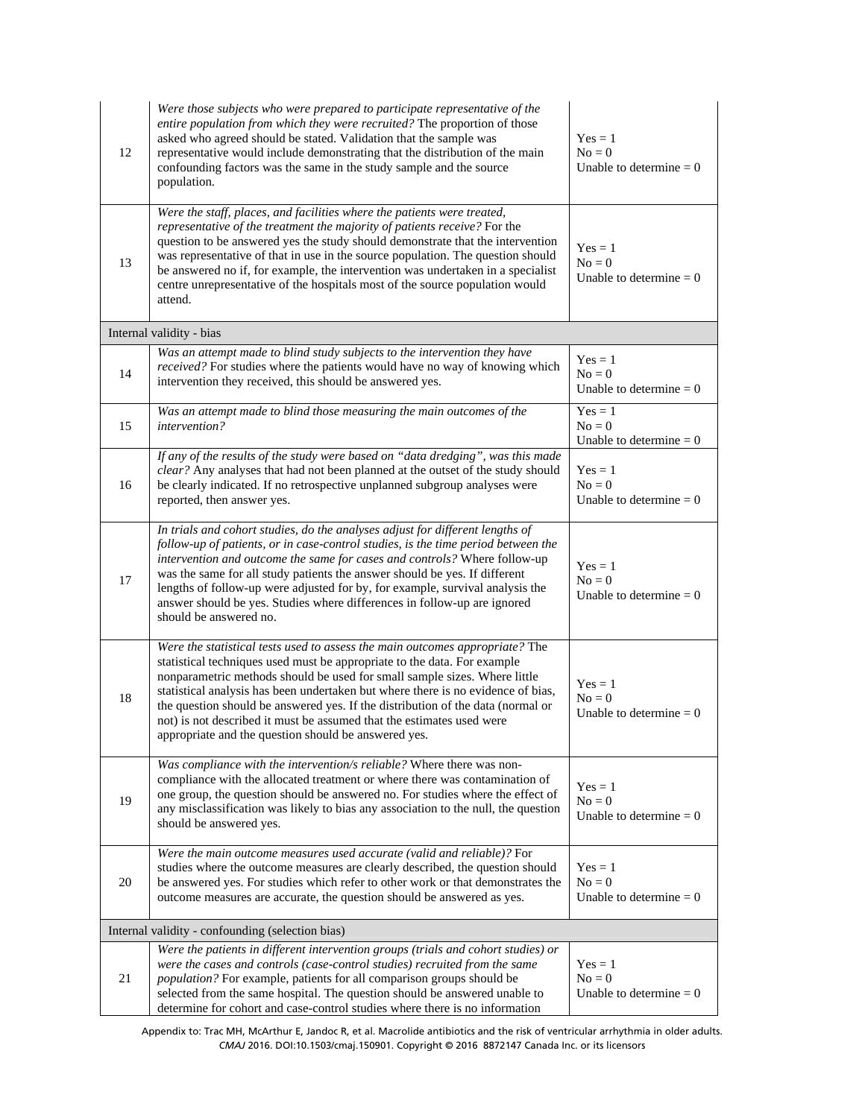| 12                                               | Were those subjects who were prepared to participate representative of the<br>entire population from which they were recruited? The proportion of those<br>asked who agreed should be stated. Validation that the sample was<br>representative would include demonstrating that the distribution of the main<br>confounding factors was the same in the study sample and the source<br>population.                                                                                                                                            | $Yes = 1$<br>$No = 0$<br>Unable to determine $= 0$  |  |  |
|--------------------------------------------------|-----------------------------------------------------------------------------------------------------------------------------------------------------------------------------------------------------------------------------------------------------------------------------------------------------------------------------------------------------------------------------------------------------------------------------------------------------------------------------------------------------------------------------------------------|-----------------------------------------------------|--|--|
| 13                                               | Were the staff, places, and facilities where the patients were treated,<br>representative of the treatment the majority of patients receive? For the<br>question to be answered yes the study should demonstrate that the intervention<br>was representative of that in use in the source population. The question should<br>be answered no if, for example, the intervention was undertaken in a specialist<br>centre unrepresentative of the hospitals most of the source population would<br>attend.                                       | $Yes = 1$<br>$No = 0$<br>Unable to determine $= 0$  |  |  |
|                                                  | Internal validity - bias                                                                                                                                                                                                                                                                                                                                                                                                                                                                                                                      |                                                     |  |  |
| 14                                               | Was an attempt made to blind study subjects to the intervention they have<br>received? For studies where the patients would have no way of knowing which<br>intervention they received, this should be answered yes.                                                                                                                                                                                                                                                                                                                          | $Yes = 1$<br>$No = 0$<br>Unable to determine $= 0$  |  |  |
| 15                                               | Was an attempt made to blind those measuring the main outcomes of the<br>intervention?                                                                                                                                                                                                                                                                                                                                                                                                                                                        | $Yes = 1$<br>$No = 0$<br>Unable to determine $= 0$  |  |  |
| 16                                               | If any of the results of the study were based on "data dredging", was this made<br>clear? Any analyses that had not been planned at the outset of the study should<br>be clearly indicated. If no retrospective unplanned subgroup analyses were<br>reported, then answer yes.                                                                                                                                                                                                                                                                | $Yes = 1$<br>$No = 0$<br>Unable to determine $= 0$  |  |  |
| 17                                               | In trials and cohort studies, do the analyses adjust for different lengths of<br>follow-up of patients, or in case-control studies, is the time period between the<br>intervention and outcome the same for cases and controls? Where follow-up<br>was the same for all study patients the answer should be yes. If different<br>lengths of follow-up were adjusted for by, for example, survival analysis the<br>answer should be yes. Studies where differences in follow-up are ignored<br>should be answered no.                          | $Yes = 1$<br>$No = 0$<br>Unable to determine $= 0$  |  |  |
| 18                                               | Were the statistical tests used to assess the main outcomes appropriate? The<br>statistical techniques used must be appropriate to the data. For example<br>nonparametric methods should be used for small sample sizes. Where little<br>statistical analysis has been undertaken but where there is no evidence of bias,<br>the question should be answered yes. If the distribution of the data (normal or<br>not) is not described it must be assumed that the estimates used were<br>appropriate and the question should be answered yes. | $Yes = 1$<br>$N_0 = 0$<br>Unable to determine $= 0$ |  |  |
| 19                                               | Was compliance with the intervention/s reliable? Where there was non-<br>compliance with the allocated treatment or where there was contamination of<br>one group, the question should be answered no. For studies where the effect of<br>any misclassification was likely to bias any association to the null, the question<br>should be answered yes.                                                                                                                                                                                       | $Yes = 1$<br>$No = 0$<br>Unable to determine $= 0$  |  |  |
| 20                                               | Were the main outcome measures used accurate (valid and reliable)? For<br>studies where the outcome measures are clearly described, the question should<br>be answered yes. For studies which refer to other work or that demonstrates the<br>outcome measures are accurate, the question should be answered as yes.                                                                                                                                                                                                                          | $Yes = 1$<br>$No = 0$<br>Unable to determine $= 0$  |  |  |
| Internal validity - confounding (selection bias) |                                                                                                                                                                                                                                                                                                                                                                                                                                                                                                                                               |                                                     |  |  |
| 21                                               | Were the patients in different intervention groups (trials and cohort studies) or<br>were the cases and controls (case-control studies) recruited from the same<br>population? For example, patients for all comparison groups should be<br>selected from the same hospital. The question should be answered unable to<br>determine for cohort and case-control studies where there is no information                                                                                                                                         | $Yes = 1$<br>$No = 0$<br>Unable to determine $= 0$  |  |  |

Appendix to: Trac MH, McArthur E, Jandoc R, et al. Macrolide antibiotics and the risk of ventricular arrhythmia in older adults. *CMAJ* 2016. DOI:10.1503/cmaj.150901. Copyright © 2016 8872147 Canada Inc. or its licensors